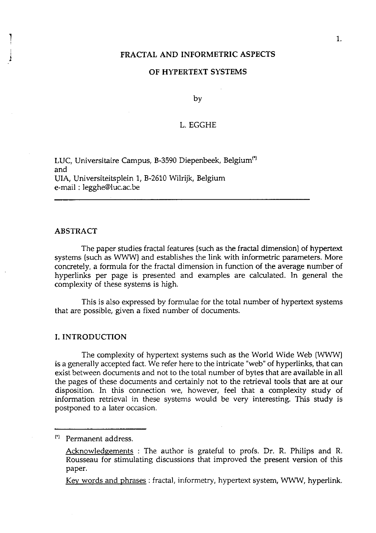# FRACTAL AND INFORMETRIC ASPECTS

## OF HYPERTEXT SYSTEMS

by

# L. EGGHE

LUC, Universitaire Campus, B-3590 Diepenbeek, Belgium<sup>(\*)</sup> and UIA, Universiteitsplein 1, B-2610 Wilrijk, Belgium e-mail : legghe@luc.ac.be

#### ABSTRACT

The paper studies fractal features (such as the fractal dimension] of hypertext systems (such as WWW) and establishes the link with informetric parameters. More concretely, a formula for the fractal dimension in function of the average number of hyperlinks per page is presented and examples are calculated. In general the complexity of these systems is high.

This is also expressed by formulae for the total number of hypertext systems that are possible, given a fixed number of documents.

# I. INTRODUCTION

The complexity of hypertext systems such as the World Wide Web (WWW] is a generally accepted fact. We refer here to the intricate "web" of hyperlinks, that can exist between documents and not to the total number of bytes that are available in all the pages of these documents and certainly not to the retrieval tools that are at our disposition. In this connection we, however, feel that a complexity study of information retrieval in these systems would be very interesting. This study is postponed to a later occasion.

['I Permanent address.

Kev words and phrases : fractal, informetry, hypertext system, WWW, hyperlink.

Acknowledgements : The author is grateful to profs. Dr. R. Philips and R. Rousseau for stimulating discussions that improved the present version of this paper.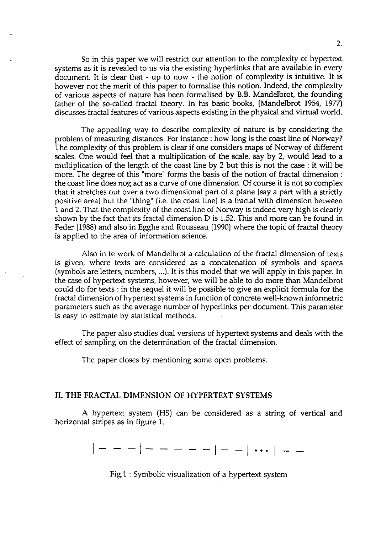So in this paper we will restrict our attention to the complexity of hypertext systems as it is revealed to us via the existing hyperlinks that are available in every document. It is clear that - up to now - the notion of complexity is intuitive. It is however not the merit of this paper to formalise this notion. Indeed, the complexity of various aspects of nature has been formalised by B.B. Mandelbrot, the founding father of the so-called fractal theory. In his basic books, (Mandelbrot 1954, 1977) discusses fractal features of various aspects existing in the physical and virtual world.

The appealing way to describe complexity of nature is by considering the problem of measuring distances. For instance : how long is the coast line of Norway? The complexity of this problem is clear if one considers maps of Norway of different scales. One would feel that a multiplication of the scale, say by 2, would lead to a multiplication of the length of the coast line by 2 but this is not the case : it will be more. The degree of this "more" forms the basis of the notion of fractal dimension : the coast line does nog act as a curve of one dimension. Of course it is not so complex that it stretches out over a two dimensional part of a plane (say a part with a strictly positive area) but the "thing" (i.e. the coast line) is a fractal with dimension between 1 and 2. That the complexity of the coast line of Norway is indeed very high is clearly shown by the fact that its fractal dimension D is 1.52. This and more can be found in Feder (1988) and also in Egghe and Rousseau (1990) where the topic of fractal theory is applied to the area of information science.

Also in te work of Mandelbrot a calculation of the fractal dimension of texts is given, where texts are considered as a concatenation of symbols and spaces (symbols are letters, numbers, ...). It is this model that we will apply in this paper. In the case of hypertext systems, however, we will be able to do more than Mandelbrot could do for texts : in the sequel it will be possible to give an explicit formula for the fractal dimension of hypertext systems in function of concrete well-known informetric parameters such as the average number of hyperlinks per document. This parameter is easy to estimate by statistical methods.

The paper also studies dual versions of hypertext systems and deals with the effect of sampling on the determination of the fractal dimension.

The paper closes by mentioning some open problems.

## **11.** THE FRACTAL DIMENSION OF HYPERTEXT SYSTEMS

A hypertext system (HS) can be considered as a string of vertical and horizontal stripes as in figure 1.

 $| - - - | - - - - - - | - - | \dots | - -$ 

Fig.1 : Symbolic visualization of a hypertext system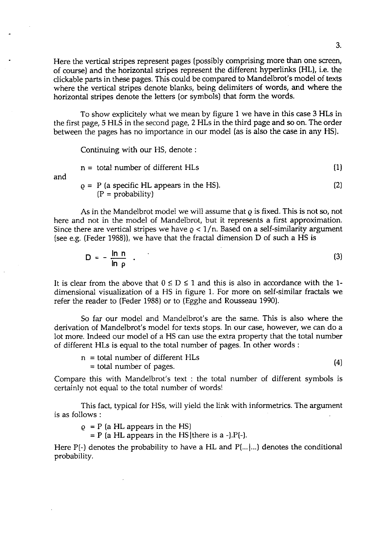Here the vertical stripes represent pages (possibly comprising more than one screen, of course) and the horizontal stripes represent the different hyperlinks (HL), i.e. the clickable parts in these pages. This could be compared to Mandelbrot's model of texts where the vertical stripes denote blanks, being delimiters of words, and where the horizontal stripes denote the letters (or symbols) that form the words.

To show explicitely what we mean by figure 1 we have in this case **3** HLs in the first page, 5 HLS in the second page, 2 HLs in the third page and so on. The order between the pages has no importance in our model [as is also the case in any HS).

Continuing with our HS, denote :

$$
n = total number of different HLs
$$
\n
$$
Q = P
$$
 (a specific HL appears in the HS).\n
$$
(2)
$$

and

 $(P = probability)$ 

As in the Mandelbrot model we will assume that  $\rho$  is fixed. This is not so, not here and not in the model of Mandelbrot, but it represents a first approximation. Since there are vertical stripes we have  $\rho < 1/n$ . Based on a self-similarity argument (see e.g. (Feder 1988)), we have that the fractal dimension D of such a HS is

$$
D = -\frac{\ln n}{\ln p} \tag{3}
$$

It is clear from the above that  $0 \le D \le 1$  and this is also in accordance with the 1dimensional visualization of a HS in figure 1. For more on self-similar fractals we refer the reader to (Feder 1988) or to (Egghe and Rousseau 1990).

So far our model and Mandelbrot's are the same. This is also where the derivation of Mandelbrot's model for texts stops. In our case, however, we can do a lot more. Indeed our model of a HS can use the extra property that the total number of different HLs is equal to the total number of pages. In other words :

 $n =$  total number of different HLs = total number of pages.

 $(4)$ 

Compare this with Mandelbrot's text : the total number of different symbols is certainly not equal to the total number of words!

This fact, typical for HSs, will yield the link with informetrics. The argument is as follows :

 $\rho$  = P (a HL appears in the HS)

 $=$  P (a HL appears in the HS | there is a -). P(-).

Here  $P(-)$  denotes the probability to have a HL and  $P(...|...)$  denotes the conditional probability.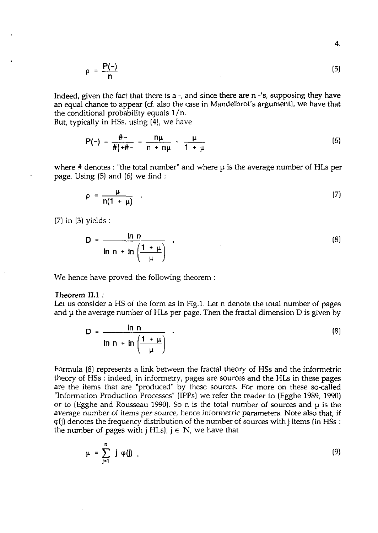$$
\rho = \frac{P(-)}{n}
$$
 (5)

Indeed, given the fact that there is a -, and since there are n -'s, supposing they have an equal chance to appear *(6.* also the case in Mandelbrot's argument), we have that the conditional probability equals l/n.

But, typically in HSs, using  $(4)$ , we have

$$
P(-) = \frac{\# -}{\# | + \# -} = \frac{n\mu}{n + n\mu} = \frac{\mu}{1 + \mu}
$$
 (6)

where # denotes : "the total number" and where **p** is the average number of HLs per page. Using *(5)* and (6) we find :

$$
\rho = \frac{\mu}{n(1 + \mu)} \quad . \tag{7}
$$

(7) in (3) yields

$$
D = \frac{\ln n}{\ln n + \ln \left(\frac{1 + \mu}{\mu}\right)} \tag{8}
$$

We hence have proved the following theorem :

#### Theorem **11.1** :

Let us consider a HS of the form as in Fig.1. Let n denote the total number of pages and **p** the average number of HLs per page. Then the fractal dimension D is given by

$$
D = \frac{\ln n}{\ln n + \ln \left(\frac{1 + \mu}{\mu}\right)} \tag{8}
$$

Formula (8) represents a link between the fractal theory of HSs and the informetric theory of HSs : indeed, in informetry, pages are sources and the HLs in these pages are the items that are "produced" by these sources. For more on these so-called "Information Production Processes" (IPPs) we refer the reader to (Egghe 1989, 1990) or to (Egghe and Rousseau 1990). So n is the total number of sources and **p** is the average number of items per source, hence informetric parameters. Note also that, if  $\varphi$ (j) denotes the frequency distribution of the number of sources with j items (in HSs : the number of pages with  $j$  HLs),  $j \in \mathbb{N}$ , we have that

$$
\mu = \sum_{j=1}^{n} j \varphi(j) \tag{9}
$$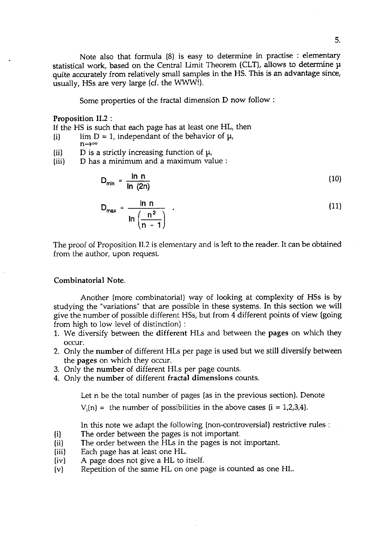Note also that formula (8) is easy to determine in practise : elementary statistical work, based on the Central Limit Theorem (CLT), allows to determine **p**  quite accurately from relatively small samples in the HS. This is an advantage since, usually, HSs are very large **(cf.** the WWW!).

Some properties of the fractal dimension D now follow :

#### Proposition **11.2** :

If the HS is such that each page has at least one HL, then

- (i) lim  $D = 1$ , independant of the behavior of  $\mu$ ,  $n \rightarrow \infty$
- (ii) D is a strictly increasing function of  $\mu$ ,
- (iii) D has a minimum and a maximum value :

$$
D_{\min} = \frac{\ln n}{\ln (2n)} \tag{10}
$$

$$
D_{\text{max}} = \frac{\ln n}{\ln \left( \frac{n^2}{n-1} \right)} \quad . \tag{11}
$$

The proof of Proposition 11.2 is elementary and is left to the reader. It can be obtained from the author, upon request.

### Combinatorial Note.

Another (more combinatorial) way of looking at complexity of HSs is by studying the "variations" that are possible in these systems. In this section we will give the number of possible different HSs, but from 4 different points of view (going from high to low level of distinction) :

- 1. We diversify between the different HLs and between the pages on which they occur.
- 2. Only the number of different HLs per page is used but we still diversify between the pages on which they occur.
- 3. Only the number of different HLs per page counts.
- 4. Only the number of different fractal dimensions counts.

Let n be the total number of pages (as in the previous section). Denote

 $V_i(n)$  = the number of possibilities in the above cases  $(i = 1,2,3,4)$ .

In this note we adapt the following (non-controversial) restrictive rules :

- (i) The order between the pages is not important.
- (ii) The order between the HLs in the pages is not important.<br>(iii) Each page has at least one HL.
- Each page has at least one HL.
- (iv) A page does not give a HL to itself.<br>(v) Repetition of the same HL on one pa
- Repetition of the same HL on one page is counted as one HL.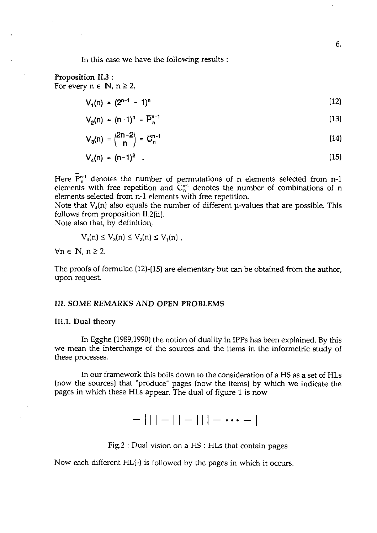In this case we have the following results :

Proposition **11.3** : For every  $n \in \mathbb{N}$ ,  $n \geq 2$ ,

$$
V_1(n) = (2^{n-1} - 1)^n
$$
 (12)

$$
V_o(n) = (n-1)^n = \overline{P}_n^{n-1}
$$
 (13)

$$
V_3(n) = \binom{2n-2}{n} = \overline{C}_n^{n-1}
$$
 (14)

$$
V_4(n) = (n-1)^2 \quad . \tag{15}
$$

Here  $P_n^{n-1}$  denotes the number of permutations of n elements selected from n-1 elements with free repetition and  $C_{n}^{n-1}$  denotes the number of combinations of n elements selected from n-1 elements with free repetition.

Note that  $V_4(n)$  also equals the number of different *u*-values that are possible. This follows from proposition II.2(ii).

Note also that, by definition,

$$
V_4(n) \le V_3(n) \le V_2(n) \le V_1(n) ,
$$

 $\forall n \in \mathbb{N}, n \geq 2.$ 

The proofs of formulae (12)-(15) are elementary but can be obtained from the author, upon request.

## **111. SOME REMARKS AND OPEN PROBLEMS**

### **111.1.** Dual **theory**

In Egghe (1989,1990) the notion of duality in IPPs has been explained. By this we mean the interchange of the sources and the items in the informetric study of these processes.

In our framework this boils down to the consideration of a HS as a set of HLs (now the sources) that "produce" pages (now the items] by which we indicate the pages in which these HLs appear. The dual of figure 1 is now

 $-$ ||| - || - ||| -  $\cdots$  - |

Fig.2 : Dual vision on a HS : HLs that contain pages

Now each different HL(-) is followed by the pages in which it occurs.

6.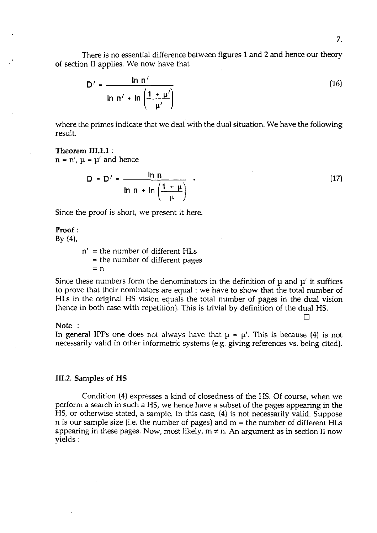There is no essential difference between figures 1 and 2 and hence our theory of section I1 applies. We now have that

$$
D' = \frac{\ln n'}{\ln n' + \ln \left(\frac{1 + \mu'}{\mu'}\right)}
$$
 (16)

where the primes indicate that we deal with the dual situation. We have the following result.

# Theorem **111.1.1** :  $n = n'$ ,  $\mu = \mu'$  and hence

$$
D = D' = \frac{\ln n}{\ln n + \ln \left( \frac{1 + \mu}{\mu} \right)}
$$
 (17)

Since the proof is short, we present it here.

# Proof :

 $By (4),$ 

n' = the number of different HLs = the number of different pages  $= n$ 

Since these numbers form the denominators in the definition of  $\mu$  and  $\mu'$  it suffices to prove that their nominators are equal : we have to show that the total number of HLs in the original HS vision equals the total number of pages in the dual vision (hence in both case with repetition). This is trivial by definition of the dual HS.

#### Note :

In general IPPs one does not always have that  $\mu = \mu'$ . This is because (4) is not necessarily valid in other informetric systems (e.g. giving references vs. being cited).

#### 111.2. Samples of HS

Condition (4) expresses a kind of closedness of the HS. Of course, when we perform a search in such a HS, we hence have a subset of the pages appearing in the HS, or otherwise stated, a sample. In this case, (4) is not necessarily valid. Suppose  $n$  is our sample size (i.e. the number of pages) and  $m =$  the number of different  $H L s$ appearing in these pages. Now, most likely,  $m \neq n$ . An argument as in section II now yields :

 $\Box$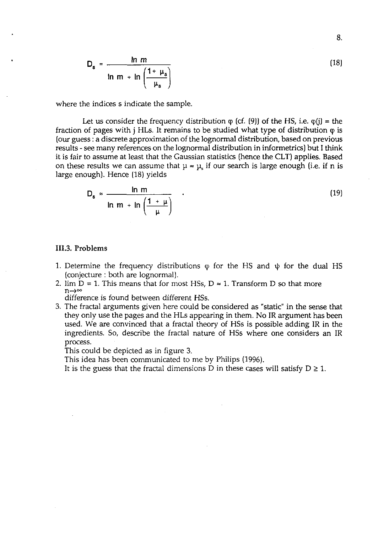$$
D_s = \frac{\ln m}{\ln m + \ln \left(\frac{1 + \mu_s}{\mu_s}\right)}
$$

where the indices s indicate the sample.

Let us consider the frequency distribution  $\varphi$  (cf. (9)) of the HS, i.e.  $\varphi$ (j) = the fraction of pages with  $\mathbf{j}$  HLs. It remains to be studied what type of distribution  $\varphi$  is [our guess : a discrete approximation of the lognormal distribution, based on previous results - see many references on the lognormal distribution in informetrics) but I think it is fair to assume at least that the Gaussian statistics (hence the CLT) applies. Based on these results we can assume that  $\mu \approx \mu_s$  if our search is large enough (i.e. if n is large enough]. Hence (18) yields

$$
D_s \approx \frac{\ln m}{\ln m + \ln \left(\frac{1 + \mu}{\mu}\right)} \tag{19}
$$

### 111.3. Problems

- 1. Determine the frequency distributions  $\varphi$  for the HS and  $\psi$  for the dual HS (conjecture : both are lognormal).
- 2. lim  $D = 1$ . This means that for most HSs,  $D \approx 1$ . Transform D so that more  $n \rightarrow \infty$

difference is found between different HSs.

**3.** The fractal arguments given here could be considered as "static" in the sense that they only use the pages and the HLs appearing in them. No IR argument has been used. We are convinced that a fractal theory of HSs is possible adding **IR** in the ingredients. So, describe the fractal nature of HSs where one considers an IR process.

This could be depicted as in figure **3.** 

This idea has been communicated to me by Philips (1996).

It is the guess that the fractal dimensions D in these cases will satisfy  $D \ge 1$ .

 $(18)$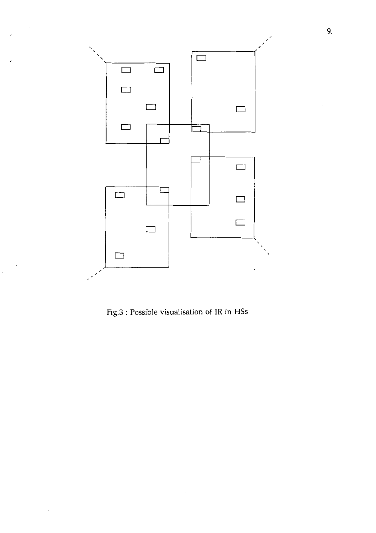

Fig.3 : Possible visualisation of IR in HSs

 $\bar{z}$